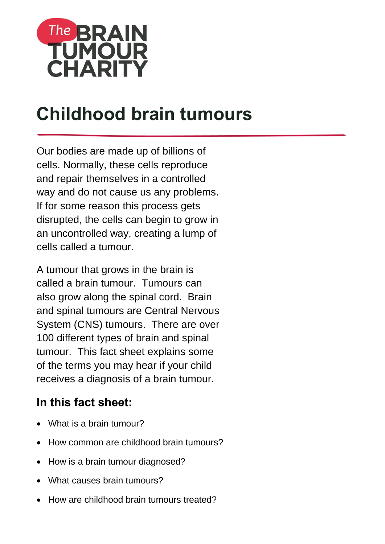

# **Childhood brain tumours**

Our bodies are made up of billions of cells. Normally, these cells reproduce and repair themselves in a controlled way and do not cause us any problems. If for some reason this process gets disrupted, the cells can begin to grow in an uncontrolled way, creating a lump of cells called a tumour.

A tumour that grows in the brain is called a brain tumour. Tumours can also grow along the spinal cord. Brain and spinal tumours are Central Nervous System (CNS) tumours. There are over 100 different types of brain and spinal tumour. This fact sheet explains some of the terms you may hear if your child receives a diagnosis of a brain tumour.

# **In this fact sheet:**

- What is a brain tumour?
- How common are childhood brain tumours?
- How is a brain tumour diagnosed?
- What causes brain tumours?
- How are childhood brain tumours treated?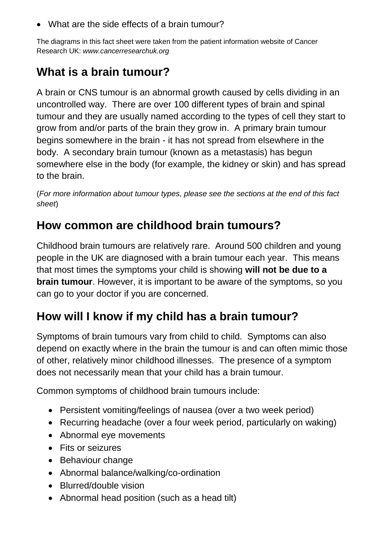• What are the side effects of a brain tumour?

The diagrams in this fact sheet were taken from the patient information website of Cancer Research UK: *www.cancerresearchuk.org*

### **What is a brain tumour?**

A brain or CNS tumour is an abnormal growth caused by cells dividing in an uncontrolled way. There are over 100 different types of brain and spinal tumour and they are usually named according to the types of cell they start to grow from and/or parts of the brain they grow in. A primary brain tumour begins somewhere in the brain - it has not spread from elsewhere in the body. A secondary brain tumour (known as a metastasis) has begun somewhere else in the body (for example, the kidney or skin) and has spread to the brain.

(*For more information about tumour types, please see the sections at the end of this fact sheet*)

### **How common are childhood brain tumours?**

Childhood brain tumours are relatively rare. Around 500 children and young people in the UK are diagnosed with a brain tumour each year. This means that most times the symptoms your child is showing **will not be due to a brain tumour**. However, it is important to be aware of the symptoms, so you can go to your doctor if you are concerned.

### **How will I know if my child has a brain tumour?**

Symptoms of brain tumours vary from child to child. Symptoms can also depend on exactly where in the brain the tumour is and can often mimic those of other, relatively minor childhood illnesses. The presence of a symptom does not necessarily mean that your child has a brain tumour.

Common symptoms of childhood brain tumours include:

- Persistent vomiting/feelings of nausea (over a two week period)
- Recurring headache (over a four week period, particularly on waking)
- Abnormal eye movements
- Fits or seizures
- Behaviour change
- Abnormal balance/walking/co-ordination
- Blurred/double vision
- Abnormal head position (such as a head tilt)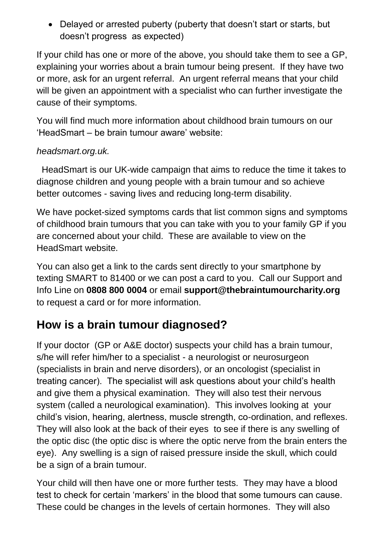• Delayed or arrested puberty (puberty that doesn't start or starts, but doesn't progress as expected)

If your child has one or more of the above, you should take them to see a GP, explaining your worries about a brain tumour being present. If they have two or more, ask for an urgent referral. An urgent referral means that your child will be given an appointment with a specialist who can further investigate the cause of their symptoms.

You will find much more information about childhood brain tumours on our 'HeadSmart – be brain tumour aware' website:

#### *headsmart.org.uk.*

 HeadSmart is our UK-wide campaign that aims to reduce the time it takes to diagnose children and young people with a brain tumour and so achieve better outcomes - saving lives and reducing long-term disability.

We have pocket-sized symptoms cards that list common signs and symptoms of childhood brain tumours that you can take with you to your family GP if you are concerned about your child. These are available to view on the HeadSmart website.

You can also get a link to the cards sent directly to your smartphone by texting SMART to 81400 or we can post a card to you. Call our Support and Info Line on **0808 800 0004** or email **support@thebraintumourcharity.org** to request a card or for more information.

### **How is a brain tumour diagnosed?**

If your doctor (GP or A&E doctor) suspects your child has a brain tumour, s/he will refer him/her to a specialist - a neurologist or neurosurgeon (specialists in brain and nerve disorders), or an oncologist (specialist in treating cancer). The specialist will ask questions about your child's health and give them a physical examination. They will also test their nervous system (called a neurological examination). This involves looking at your child's vision, hearing, alertness, muscle strength, co-ordination, and reflexes. They will also look at the back of their eyes to see if there is any swelling of the optic disc (the optic disc is where the optic nerve from the brain enters the eye). Any swelling is a sign of raised pressure inside the skull, which could be a sign of a brain tumour.

Your child will then have one or more further tests. They may have a blood test to check for certain 'markers' in the blood that some tumours can cause. These could be changes in the levels of certain hormones. They will also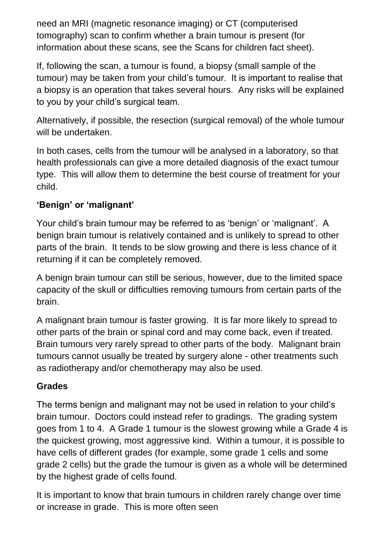need an MRI (magnetic resonance imaging) or CT (computerised tomography) scan to confirm whether a brain tumour is present (for information about these scans, see the Scans for children fact sheet).

If, following the scan, a tumour is found, a biopsy (small sample of the tumour) may be taken from your child's tumour. It is important to realise that a biopsy is an operation that takes several hours. Any risks will be explained to you by your child's surgical team.

Alternatively, if possible, the resection (surgical removal) of the whole tumour will be undertaken.

In both cases, cells from the tumour will be analysed in a laboratory, so that health professionals can give a more detailed diagnosis of the exact tumour type. This will allow them to determine the best course of treatment for your child.

### **'Benign' or 'malignant'**

Your child's brain tumour may be referred to as 'benign' or 'malignant'. A benign brain tumour is relatively contained and is unlikely to spread to other parts of the brain. It tends to be slow growing and there is less chance of it returning if it can be completely removed.

A benign brain tumour can still be serious, however, due to the limited space capacity of the skull or difficulties removing tumours from certain parts of the brain.

A malignant brain tumour is faster growing. It is far more likely to spread to other parts of the brain or spinal cord and may come back, even if treated. Brain tumours very rarely spread to other parts of the body. Malignant brain tumours cannot usually be treated by surgery alone - other treatments such as radiotherapy and/or chemotherapy may also be used.

#### **Grades**

The terms benign and malignant may not be used in relation to your child's brain tumour. Doctors could instead refer to gradings. The grading system goes from 1 to 4. A Grade 1 tumour is the slowest growing while a Grade 4 is the quickest growing, most aggressive kind. Within a tumour, it is possible to have cells of different grades (for example, some grade 1 cells and some grade 2 cells) but the grade the tumour is given as a whole will be determined by the highest grade of cells found.

It is important to know that brain tumours in children rarely change over time or increase in grade. This is more often seen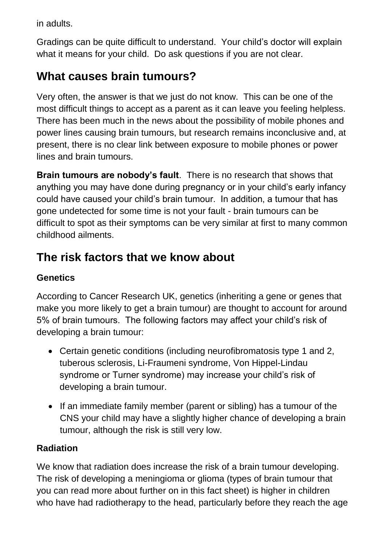in adults.

Gradings can be quite difficult to understand. Your child's doctor will explain what it means for your child. Do ask questions if you are not clear.

# **What causes brain tumours?**

Very often, the answer is that we just do not know. This can be one of the most difficult things to accept as a parent as it can leave you feeling helpless. There has been much in the news about the possibility of mobile phones and power lines causing brain tumours, but research remains inconclusive and, at present, there is no clear link between exposure to mobile phones or power lines and brain tumours.

**Brain tumours are nobody's fault**. There is no research that shows that anything you may have done during pregnancy or in your child's early infancy could have caused your child's brain tumour. In addition, a tumour that has gone undetected for some time is not your fault - brain tumours can be difficult to spot as their symptoms can be very similar at first to many common childhood ailments.

# **The risk factors that we know about**

### **Genetics**

According to Cancer Research UK, genetics (inheriting a gene or genes that make you more likely to get a brain tumour) are thought to account for around 5% of brain tumours. The following factors may affect your child's risk of developing a brain tumour:

- Certain genetic conditions (including neurofibromatosis type 1 and 2, tuberous sclerosis, Li-Fraumeni syndrome, Von Hippel-Lindau syndrome or Turner syndrome) may increase your child's risk of developing a brain tumour.
- If an immediate family member (parent or sibling) has a tumour of the CNS your child may have a slightly higher chance of developing a brain tumour, although the risk is still very low.

### **Radiation**

We know that radiation does increase the risk of a brain tumour developing. The risk of developing a meningioma or glioma (types of brain tumour that you can read more about further on in this fact sheet) is higher in children who have had radiotherapy to the head, particularly before they reach the age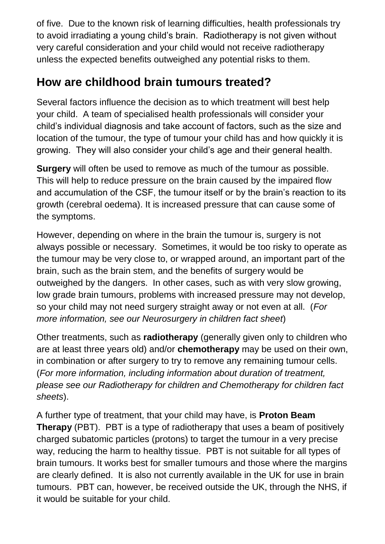of five. Due to the known risk of learning difficulties, health professionals try to avoid irradiating a young child's brain. Radiotherapy is not given without very careful consideration and your child would not receive radiotherapy unless the expected benefits outweighed any potential risks to them.

### **How are childhood brain tumours treated?**

Several factors influence the decision as to which treatment will best help your child. A team of specialised health professionals will consider your child's individual diagnosis and take account of factors, such as the size and location of the tumour, the type of tumour your child has and how quickly it is growing. They will also consider your child's age and their general health.

**Surgery** will often be used to remove as much of the tumour as possible. This will help to reduce pressure on the brain caused by the impaired flow and accumulation of the CSF, the tumour itself or by the brain's reaction to its growth (cerebral oedema). It is increased pressure that can cause some of the symptoms.

However, depending on where in the brain the tumour is, surgery is not always possible or necessary. Sometimes, it would be too risky to operate as the tumour may be very close to, or wrapped around, an important part of the brain, such as the brain stem, and the benefits of surgery would be outweighed by the dangers. In other cases, such as with very slow growing, low grade brain tumours, problems with increased pressure may not develop, so your child may not need surgery straight away or not even at all. (*For more information, see our Neurosurgery in children fact sheet*)

Other treatments, such as **radiotherapy** (generally given only to children who are at least three years old) and/or **chemotherapy** may be used on their own, in combination or after surgery to try to remove any remaining tumour cells. (*For more information, including information about duration of treatment, please see our Radiotherapy for children and Chemotherapy for children fact sheets*).

A further type of treatment, that your child may have, is **Proton Beam Therapy** (PBT). PBT is a type of radiotherapy that uses a beam of positively charged subatomic particles (protons) to target the tumour in a very precise way, reducing the harm to healthy tissue. PBT is not suitable for all types of brain tumours. It works best for smaller tumours and those where the margins are clearly defined. It is also not currently available in the UK for use in brain tumours. PBT can, however, be received outside the UK, through the NHS, if it would be suitable for your child.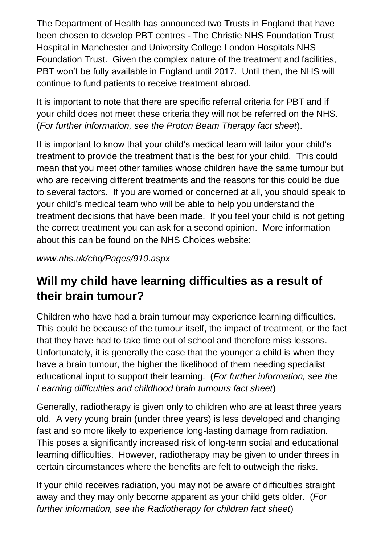The Department of Health has announced two Trusts in England that have been chosen to develop PBT centres - The Christie NHS Foundation Trust Hospital in Manchester and University College London Hospitals NHS Foundation Trust. Given the complex nature of the treatment and facilities, PBT won't be fully available in England until 2017. Until then, the NHS will continue to fund patients to receive treatment abroad.

It is important to note that there are specific referral criteria for PBT and if your child does not meet these criteria they will not be referred on the NHS. (*For further information, see the Proton Beam Therapy fact sheet*).

It is important to know that your child's medical team will tailor your child's treatment to provide the treatment that is the best for your child. This could mean that you meet other families whose children have the same tumour but who are receiving different treatments and the reasons for this could be due to several factors. If you are worried or concerned at all, you should speak to your child's medical team who will be able to help you understand the treatment decisions that have been made. If you feel your child is not getting the correct treatment you can ask for a second opinion. More information about this can be found on the NHS Choices website:

*[www.nhs.uk/chq/Pages/910.aspx](http://www.nhs.uk/chq/Pages/910.aspx)*

# **Will my child have learning difficulties as a result of their brain tumour?**

Children who have had a brain tumour may experience learning difficulties. This could be because of the tumour itself, the impact of treatment, or the fact that they have had to take time out of school and therefore miss lessons. Unfortunately, it is generally the case that the younger a child is when they have a brain tumour, the higher the likelihood of them needing specialist educational input to support their learning. (*For further information, see the Learning difficulties and childhood brain tumours fact sheet*)

Generally, radiotherapy is given only to children who are at least three years old. A very young brain (under three years) is less developed and changing fast and so more likely to experience long-lasting damage from radiation. This poses a significantly increased risk of long-term social and educational learning difficulties. However, radiotherapy may be given to under threes in certain circumstances where the benefits are felt to outweigh the risks.

If your child receives radiation, you may not be aware of difficulties straight away and they may only become apparent as your child gets older. (*For further information, see the Radiotherapy for children fact sheet*)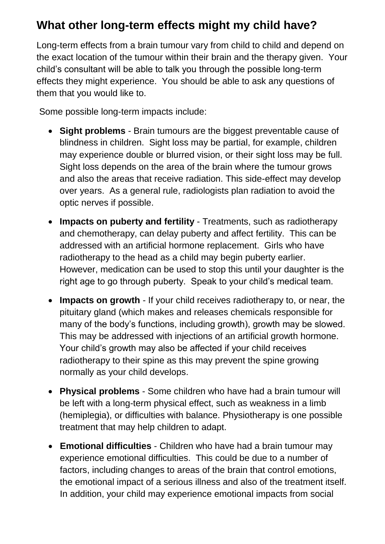### **What other long-term effects might my child have?**

Long-term effects from a brain tumour vary from child to child and depend on the exact location of the tumour within their brain and the therapy given. Your child's consultant will be able to talk you through the possible long-term effects they might experience. You should be able to ask any questions of them that you would like to.

Some possible long-term impacts include:

- **Sight problems** Brain tumours are the biggest preventable cause of blindness in children. Sight loss may be partial, for example, children may experience double or blurred vision, or their sight loss may be full. Sight loss depends on the area of the brain where the tumour grows and also the areas that receive radiation. This side-effect may develop over years. As a general rule, radiologists plan radiation to avoid the optic nerves if possible.
- **Impacts on puberty and fertility** Treatments, such as radiotherapy and chemotherapy, can delay puberty and affect fertility. This can be addressed with an artificial hormone replacement. Girls who have radiotherapy to the head as a child may begin puberty earlier. However, medication can be used to stop this until your daughter is the right age to go through puberty. Speak to your child's medical team.
- **Impacts on growth** If your child receives radiotherapy to, or near, the pituitary gland (which makes and releases chemicals responsible for many of the body's functions, including growth), growth may be slowed. This may be addressed with injections of an artificial growth hormone. Your child's growth may also be affected if your child receives radiotherapy to their spine as this may prevent the spine growing normally as your child develops.
- **Physical problems** Some children who have had a brain tumour will be left with a long-term physical effect, such as weakness in a limb (hemiplegia), or difficulties with balance. Physiotherapy is one possible treatment that may help children to adapt.
- **Emotional difficulties** Children who have had a brain tumour may experience emotional difficulties. This could be due to a number of factors, including changes to areas of the brain that control emotions, the emotional impact of a serious illness and also of the treatment itself. In addition, your child may experience emotional impacts from social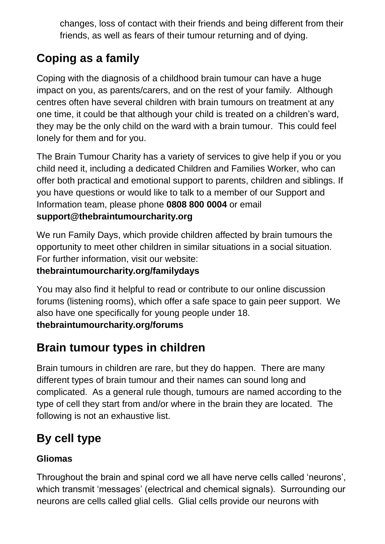changes, loss of contact with their friends and being different from their friends, as well as fears of their tumour returning and of dying.

# **Coping as a family**

Coping with the diagnosis of a childhood brain tumour can have a huge impact on you, as parents/carers, and on the rest of your family. Although centres often have several children with brain tumours on treatment at any one time, it could be that although your child is treated on a children's ward, they may be the only child on the ward with a brain tumour. This could feel lonely for them and for you.

The Brain Tumour Charity has a variety of services to give help if you or you child need it, including a dedicated Children and Families Worker, who can offer both practical and emotional support to parents, children and siblings. If you have questions or would like to talk to a member of our Support and Information team, please phone **0808 800 0004** or email **support@thebraintumourcharity.org**

We run Family Days, which provide children affected by brain tumours the opportunity to meet other children in similar situations in a social situation. For further information, visit our website:

### **thebraintumourcharity.org/familydays**

You may also find it helpful to read or contribute to our online discussion forums (listening rooms), which offer a safe space to gain peer support. We also have one specifically for young people under 18. **thebraintumourcharity.org/forums**

### **Brain tumour types in children**

Brain tumours in children are rare, but they do happen. There are many different types of brain tumour and their names can sound long and complicated. As a general rule though, tumours are named according to the type of cell they start from and/or where in the brain they are located. The following is not an exhaustive list.

# **By cell type**

#### **Gliomas**

Throughout the brain and spinal cord we all have nerve cells called 'neurons', which transmit 'messages' (electrical and chemical signals). Surrounding our neurons are cells called glial cells. Glial cells provide our neurons with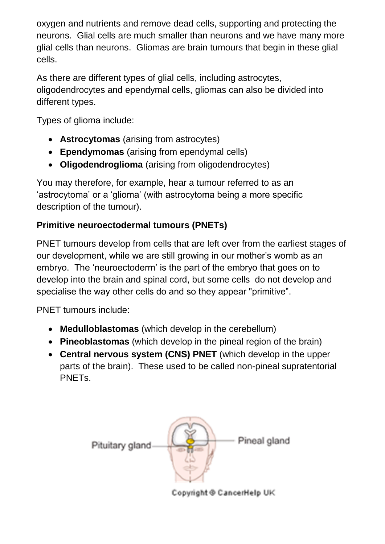oxygen and nutrients and remove dead cells, supporting and protecting the neurons. Glial cells are much smaller than neurons and we have many more glial cells than neurons. Gliomas are brain tumours that begin in these glial cells.

As there are different types of glial cells, including astrocytes, oligodendrocytes and ependymal cells, gliomas can also be divided into different types.

Types of glioma include:

- **Astrocytomas** (arising from astrocytes)
- **Ependymomas** (arising from ependymal cells)
- **Oligodendroglioma** (arising from oligodendrocytes)

You may therefore, for example, hear a tumour referred to as an 'astrocytoma' or a 'glioma' (with astrocytoma being a more specific description of the tumour).

### **Primitive neuroectodermal tumours (PNETs)**

PNET tumours develop from cells that are left over from the earliest stages of our development, while we are still growing in our mother's womb as an embryo. The 'neuroectoderm' is the part of the embryo that goes on to develop into the brain and spinal cord, but some cells do not develop and specialise the way other cells do and so they appear "primitive".

PNET tumours include:

- **Medulloblastomas** (which develop in the cerebellum)
- **Pineoblastomas** (which develop in the pineal region of the brain)
- **Central nervous system (CNS) PNET** (which develop in the upper parts of the brain). These used to be called non-pineal supratentorial PNETs.



Copyright @ CancerHelp UK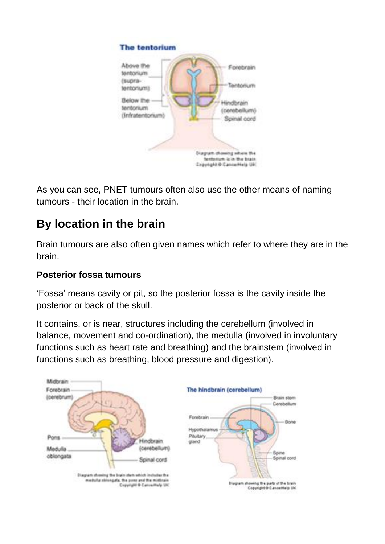

As you can see, PNET tumours often also use the other means of naming tumours - their location in the brain.

# **By location in the brain**

Brain tumours are also often given names which refer to where they are in the brain.

#### **Posterior fossa tumours**

'Fossa' means cavity or pit, so the posterior fossa is the cavity inside the posterior or back of the skull.

It contains, or is near, structures including the cerebellum (involved in balance, movement and co-ordination), the medulla (involved in involuntary functions such as heart rate and breathing) and the brainstem (involved in functions such as breathing, blood pressure and digestion).

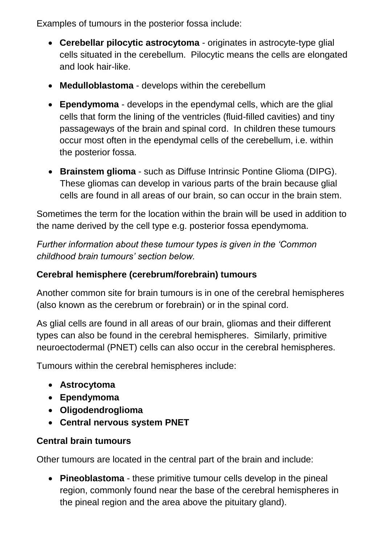Examples of tumours in the posterior fossa include:

- **Cerebellar pilocytic astrocytoma** originates in astrocyte-type glial cells situated in the cerebellum. Pilocytic means the cells are elongated and look hair-like.
- **Medulloblastoma**  develops within the cerebellum
- **Ependymoma** develops in the ependymal cells, which are the glial cells that form the lining of the ventricles (fluid-filled cavities) and tiny passageways of the brain and spinal cord. In children these tumours occur most often in the ependymal cells of the cerebellum, i.e. within the posterior fossa.
- **Brainstem glioma** such as Diffuse Intrinsic Pontine Glioma (DIPG). These gliomas can develop in various parts of the brain because glial cells are found in all areas of our brain, so can occur in the brain stem.

Sometimes the term for the location within the brain will be used in addition to the name derived by the cell type e.g. posterior fossa ependymoma.

*Further information about these tumour types is given in the 'Common childhood brain tumours' section below.*

### **Cerebral hemisphere (cerebrum/forebrain) tumours**

Another common site for brain tumours is in one of the cerebral hemispheres (also known as the cerebrum or forebrain) or in the spinal cord.

As glial cells are found in all areas of our brain, gliomas and their different types can also be found in the cerebral hemispheres. Similarly, primitive neuroectodermal (PNET) cells can also occur in the cerebral hemispheres.

Tumours within the cerebral hemispheres include:

- **Astrocytoma**
- **Ependymoma**
- **Oligodendroglioma**
- **Central nervous system PNET**

#### **Central brain tumours**

Other tumours are located in the central part of the brain and include:

 **Pineoblastoma** - these primitive tumour cells develop in the pineal region, commonly found near the base of the cerebral hemispheres in the pineal region and the area above the pituitary gland).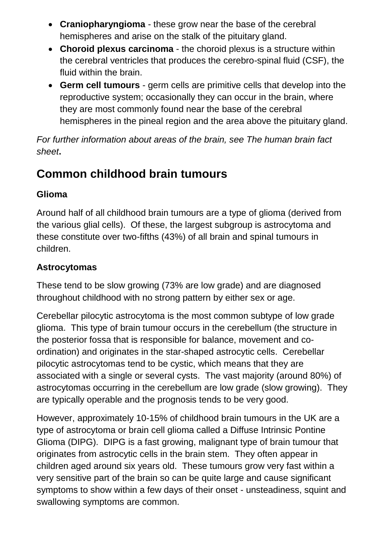- **Craniopharyngioma** these grow near the base of the cerebral hemispheres and arise on the stalk of the pituitary gland.
- **Choroid plexus carcinoma** the choroid plexus is a structure within the cerebral ventricles that produces the cerebro-spinal fluid (CSF), the fluid within the brain.
- **Germ cell tumours** germ cells are primitive cells that develop into the reproductive system; occasionally they can occur in the brain, where they are most commonly found near the base of the cerebral hemispheres in the pineal region and the area above the pituitary gland.

*For further information about areas of the brain, see The human brain fact sheet***.**

### **Common childhood brain tumours**

#### **Glioma**

Around half of all childhood brain tumours are a type of glioma (derived from the various glial cells). Of these, the largest subgroup is astrocytoma and these constitute over two-fifths (43%) of all brain and spinal tumours in children.

#### **Astrocytomas**

These tend to be slow growing (73% are low grade) and are diagnosed throughout childhood with no strong pattern by either sex or age.

Cerebellar pilocytic astrocytoma is the most common subtype of low grade glioma. This type of brain tumour occurs in the cerebellum (the structure in the posterior fossa that is responsible for balance, movement and coordination) and originates in the star-shaped astrocytic cells. Cerebellar pilocytic astrocytomas tend to be cystic, which means that they are associated with a single or several cysts. The vast majority (around 80%) of astrocytomas occurring in the cerebellum are low grade (slow growing). They are typically operable and the prognosis tends to be very good.

However, approximately 10-15% of childhood brain tumours in the UK are a type of astrocytoma or brain cell glioma called a Diffuse Intrinsic Pontine Glioma (DIPG). DIPG is a fast growing, malignant type of brain tumour that originates from astrocytic cells in the brain stem. They often appear in children aged around six years old. These tumours grow very fast within a very sensitive part of the brain so can be quite large and cause significant symptoms to show within a few days of their onset - unsteadiness, squint and swallowing symptoms are common.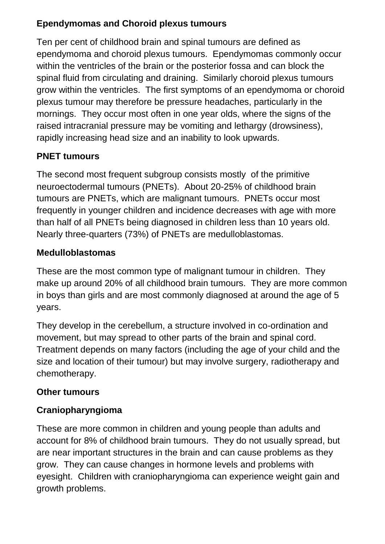#### **Ependymomas and Choroid plexus tumours**

Ten per cent of childhood brain and spinal tumours are defined as ependymoma and choroid plexus tumours. Ependymomas commonly occur within the ventricles of the brain or the posterior fossa and can block the spinal fluid from circulating and draining. Similarly choroid plexus tumours grow within the ventricles. The first symptoms of an ependymoma or choroid plexus tumour may therefore be pressure headaches, particularly in the mornings. They occur most often in one year olds, where the signs of the raised intracranial pressure may be vomiting and lethargy (drowsiness), rapidly increasing head size and an inability to look upwards.

### **PNET tumours**

The second most frequent subgroup consists mostly of the primitive neuroectodermal tumours (PNETs). About 20-25% of childhood brain tumours are PNETs, which are malignant tumours. PNETs occur most frequently in younger children and incidence decreases with age with more than half of all PNETs being diagnosed in children less than 10 years old. Nearly three-quarters (73%) of PNETs are medulloblastomas.

#### **Medulloblastomas**

These are the most common type of malignant tumour in children. They make up around 20% of all childhood brain tumours. They are more common in boys than girls and are most commonly diagnosed at around the age of 5 years.

They develop in the cerebellum, a structure involved in co-ordination and movement, but may spread to other parts of the brain and spinal cord. Treatment depends on many factors (including the age of your child and the size and location of their tumour) but may involve surgery, radiotherapy and chemotherapy.

#### **Other tumours**

#### **Craniopharyngioma**

These are more common in children and young people than adults and account for 8% of childhood brain tumours. They do not usually spread, but are near important structures in the brain and can cause problems as they grow. They can cause changes in hormone levels and problems with eyesight. Children with craniopharyngioma can experience weight gain and growth problems.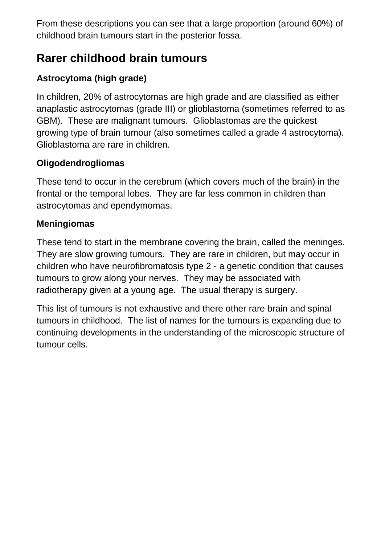From these descriptions you can see that a large proportion (around 60%) of childhood brain tumours start in the posterior fossa.

### **Rarer childhood brain tumours**

### **Astrocytoma (high grade)**

In children, 20% of astrocytomas are high grade and are classified as either anaplastic astrocytomas (grade III) or glioblastoma (sometimes referred to as GBM). These are malignant tumours. Glioblastomas are the quickest growing type of brain tumour (also sometimes called a grade 4 astrocytoma). Glioblastoma are rare in children.

### **Oligodendrogliomas**

These tend to occur in the cerebrum (which covers much of the brain) in the frontal or the temporal lobes. They are far less common in children than astrocytomas and ependymomas.

#### **Meningiomas**

These tend to start in the membrane covering the brain, called the meninges. They are slow growing tumours. They are rare in children, but may occur in children who have neurofibromatosis type 2 - a genetic condition that causes tumours to grow along your nerves. They may be associated with radiotherapy given at a young age. The usual therapy is surgery.

This list of tumours is not exhaustive and there other rare brain and spinal tumours in childhood. The list of names for the tumours is expanding due to continuing developments in the understanding of the microscopic structure of tumour cells.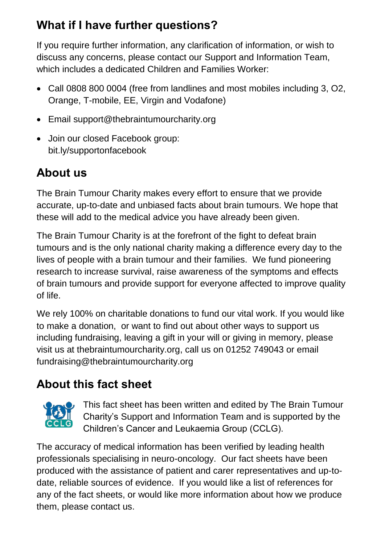# **What if I have further questions?**

If you require further information, any clarification of information, or wish to discuss any concerns, please contact our Support and Information Team, which includes a dedicated Children and Families Worker:

- Call 0808 800 0004 (free from landlines and most mobiles including 3, O2, Orange, T-mobile, EE, Virgin and Vodafone)
- Email [support@thebraintumourcharity.org](mailto:support@thebraintumourcharity.org)
- Join our closed Facebook group: bit.ly/supportonfacebook

# **About us**

The Brain Tumour Charity makes every effort to ensure that we provide accurate, up-to-date and unbiased facts about brain tumours. We hope that these will add to the medical advice you have already been given.

The Brain Tumour Charity is at the forefront of the fight to defeat brain tumours and is the only national charity making a difference every day to the lives of people with a brain tumour and their families. We fund pioneering research to increase survival, raise awareness of the symptoms and effects of brain tumours and provide support for everyone affected to improve quality of life.

We rely 100% on charitable donations to fund our vital work. If you would like to make a donation, or want to find out about other ways to support us including fundraising, leaving a gift in your will or giving in memory, please visit us at thebraintumourcharity.org, call us on 01252 749043 or email fundraising@thebraintumourcharity.org

# **About this fact sheet**



This fact sheet has been written and edited by The Brain Tumour Charity's Support and Information Team and is supported by the Children's Cancer and Leukaemia Group (CCLG).

The accuracy of medical information has been verified by leading health professionals specialising in neuro-oncology. Our fact sheets have been produced with the assistance of patient and carer representatives and up-todate, reliable sources of evidence. If you would like a list of references for any of the fact sheets, or would like more information about how we produce them, please contact us.